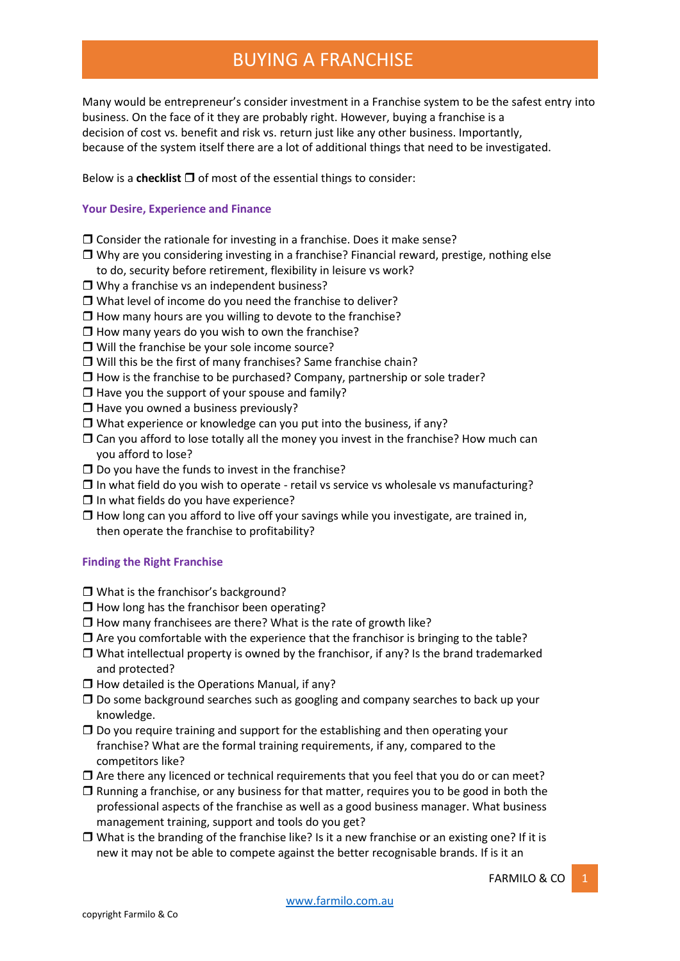Many would be entrepreneur's consider investment in a Franchise system to be the safest entry into business. On the face of it they are probably right. However, buying a franchise is a decision of cost vs. benefit and risk vs. return just like any other business. Importantly, because of the system itself there are a lot of additional things that need to be investigated.

Below is a **checklist**  $\Box$  of most of the essential things to consider:

#### **Your Desire, Experience and Finance**

- $\Box$  Consider the rationale for investing in a franchise. Does it make sense?
- $\Box$  Why are you considering investing in a franchise? Financial reward, prestige, nothing else
- to do, security before retirement, flexibility in leisure vs work?
- $\Box$  Why a franchise vs an independent business?
- $\Box$  What level of income do you need the franchise to deliver?
- $\Box$  How many hours are you willing to devote to the franchise?
- $\Box$  How many years do you wish to own the franchise?
- $\Box$  Will the franchise be your sole income source?
- $\Box$  Will this be the first of many franchises? Same franchise chain?
- $\Box$  How is the franchise to be purchased? Company, partnership or sole trader?
- $\Box$  Have you the support of your spouse and family?
- $\Box$  Have you owned a business previously?
- $\Box$  What experience or knowledge can you put into the business, if any?
- $\Box$  Can you afford to lose totally all the money you invest in the franchise? How much can you afford to lose?
- $\square$  Do you have the funds to invest in the franchise?
- $\Box$  In what field do you wish to operate retail vs service vs wholesale vs manufacturing?
- $\Box$  In what fields do you have experience?
- $\Box$  How long can you afford to live off your savings while you investigate, are trained in, then operate the franchise to profitability?

#### **Finding the Right Franchise**

- □ What is the franchisor's background?
- $\Box$  How long has the franchisor been operating?
- $\Box$  How many franchisees are there? What is the rate of growth like?
- $\Box$  Are you comfortable with the experience that the franchisor is bringing to the table?
- $\Box$  What intellectual property is owned by the franchisor, if any? Is the brand trademarked and protected?
- $\Box$  How detailed is the Operations Manual, if any?
- $\square$  Do some background searches such as googling and company searches to back up your knowledge.
- $\square$  Do you require training and support for the establishing and then operating your franchise? What are the formal training requirements, if any, compared to the competitors like?
- $\Box$  Are there any licenced or technical requirements that you feel that you do or can meet?
- $\Box$  Running a franchise, or any business for that matter, requires you to be good in both the professional aspects of the franchise as well as a good business manager. What business management training, support and tools do you get?
- $\Box$  What is the branding of the franchise like? Is it a new franchise or an existing one? If it is new it may not be able to compete against the better recognisable brands. If is it an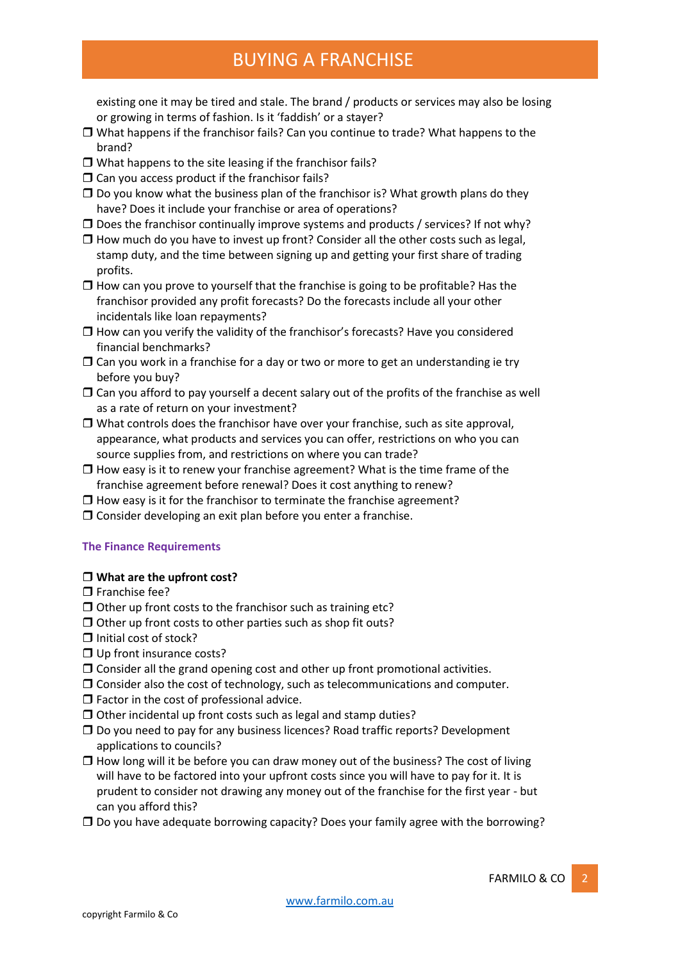existing one it may be tired and stale. The brand / products or services may also be losing or growing in terms of fashion. Is it 'faddish' or a stayer?

- $\Box$  What happens if the franchisor fails? Can you continue to trade? What happens to the brand?
- $\Box$  What happens to the site leasing if the franchisor fails?
- $\square$  Can you access product if the franchisor fails?
- $\square$  Do you know what the business plan of the franchisor is? What growth plans do they have? Does it include your franchise or area of operations?
- $\square$  Does the franchisor continually improve systems and products / services? If not why?
- $\Box$  How much do you have to invest up front? Consider all the other costs such as legal, stamp duty, and the time between signing up and getting your first share of trading profits.
- $\Box$  How can you prove to yourself that the franchise is going to be profitable? Has the franchisor provided any profit forecasts? Do the forecasts include all your other incidentals like loan repayments?
- $\Box$  How can you verify the validity of the franchisor's forecasts? Have you considered financial benchmarks?
- $\Box$  Can you work in a franchise for a day or two or more to get an understanding ie try before you buy?
- $\square$  Can you afford to pay yourself a decent salary out of the profits of the franchise as well as a rate of return on your investment?
- $\Box$  What controls does the franchisor have over your franchise, such as site approval, appearance, what products and services you can offer, restrictions on who you can source supplies from, and restrictions on where you can trade?
- $\Box$  How easy is it to renew your franchise agreement? What is the time frame of the franchise agreement before renewal? Does it cost anything to renew?
- $\Box$  How easy is it for the franchisor to terminate the franchise agreement?
- $\square$  Consider developing an exit plan before you enter a franchise.

#### **The Finance Requirements**

#### **What are the upfront cost?**

- $\square$  Franchise fee?
- $\Box$  Other up front costs to the franchisor such as training etc?
- $\Box$  Other up front costs to other parties such as shop fit outs?
- $\Box$  Initial cost of stock?
- □ Up front insurance costs?
- $\Box$  Consider all the grand opening cost and other up front promotional activities.
- $\Box$  Consider also the cost of technology, such as telecommunications and computer.
- $\Box$  Factor in the cost of professional advice.
- $\Box$  Other incidental up front costs such as legal and stamp duties?
- Do you need to pay for any business licences? Road traffic reports? Development applications to councils?
- $\Box$  How long will it be before you can draw money out of the business? The cost of living will have to be factored into your upfront costs since you will have to pay for it. It is prudent to consider not drawing any money out of the franchise for the first year - but can you afford this?
- $\square$  Do you have adequate borrowing capacity? Does your family agree with the borrowing?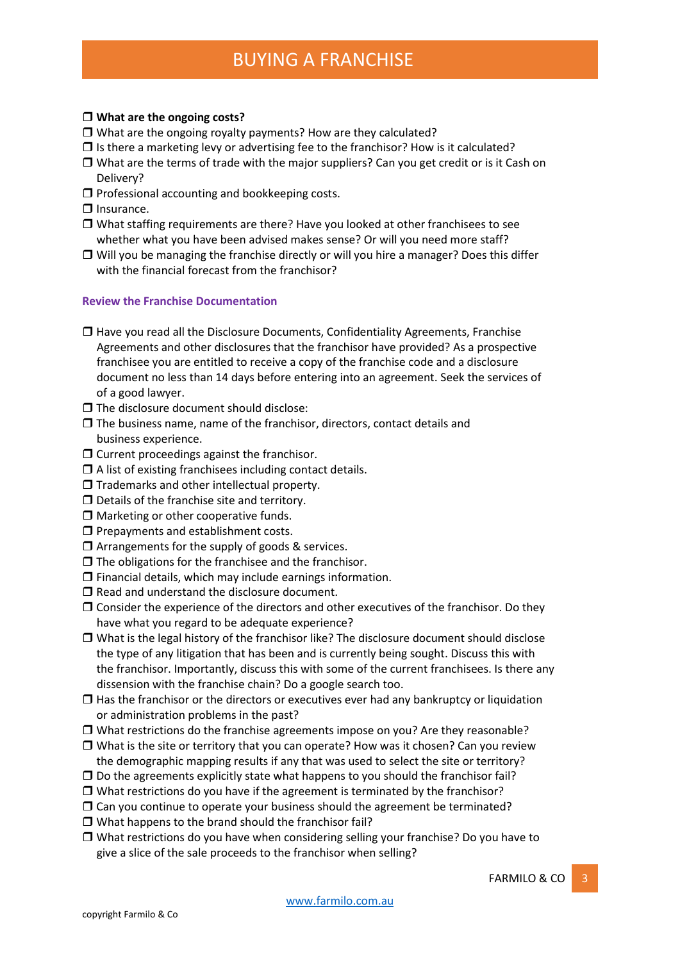#### **What are the ongoing costs?**

- $\Box$  What are the ongoing royalty payments? How are they calculated?
- $\Box$  Is there a marketing levy or advertising fee to the franchisor? How is it calculated?
- $\Box$  What are the terms of trade with the major suppliers? Can you get credit or is it Cash on Delivery?
- $\square$  Professional accounting and bookkeeping costs.
- $\Box$  Insurance.
- $\Box$  What staffing requirements are there? Have you looked at other franchisees to see whether what you have been advised makes sense? Or will you need more staff?
- $\Box$  Will you be managing the franchise directly or will you hire a manager? Does this differ with the financial forecast from the franchisor?

#### **Review the Franchise Documentation**

- $\Box$  Have you read all the Disclosure Documents, Confidentiality Agreements, Franchise Agreements and other disclosures that the franchisor have provided? As a prospective franchisee you are entitled to receive a copy of the franchise code and a disclosure document no less than 14 days before entering into an agreement. Seek the services of of a good lawyer.
- $\Box$  The disclosure document should disclose:
- $\Box$  The business name, name of the franchisor, directors, contact details and business experience.
- $\Box$  Current proceedings against the franchisor.
- $\Box$  A list of existing franchisees including contact details.
- $\Box$  Trademarks and other intellectual property.
- $\square$  Details of the franchise site and territory.
- $\Box$  Marketing or other cooperative funds.
- $\square$  Prepayments and establishment costs.
- $\Box$  Arrangements for the supply of goods & services.
- $\Box$  The obligations for the franchisee and the franchisor.
- $\Box$  Financial details, which may include earnings information.
- $\square$  Read and understand the disclosure document.
- $\square$  Consider the experience of the directors and other executives of the franchisor. Do they have what you regard to be adequate experience?
- What is the legal history of the franchisor like? The disclosure document should disclose the type of any litigation that has been and is currently being sought. Discuss this with the franchisor. Importantly, discuss this with some of the current franchisees. Is there any dissension with the franchise chain? Do a google search too.
- $\Box$  Has the franchisor or the directors or executives ever had any bankruptcy or liquidation or administration problems in the past?
- $\Box$  What restrictions do the franchise agreements impose on you? Are they reasonable?
- $\Box$  What is the site or territory that you can operate? How was it chosen? Can you review the demographic mapping results if any that was used to select the site or territory?
- $\square$  Do the agreements explicitly state what happens to you should the franchisor fail?
- $\Box$  What restrictions do you have if the agreement is terminated by the franchisor?
- $\Box$  Can you continue to operate your business should the agreement be terminated?
- $\Box$  What happens to the brand should the franchisor fail?
- $\Box$  What restrictions do you have when considering selling your franchise? Do you have to give a slice of the sale proceeds to the franchisor when selling?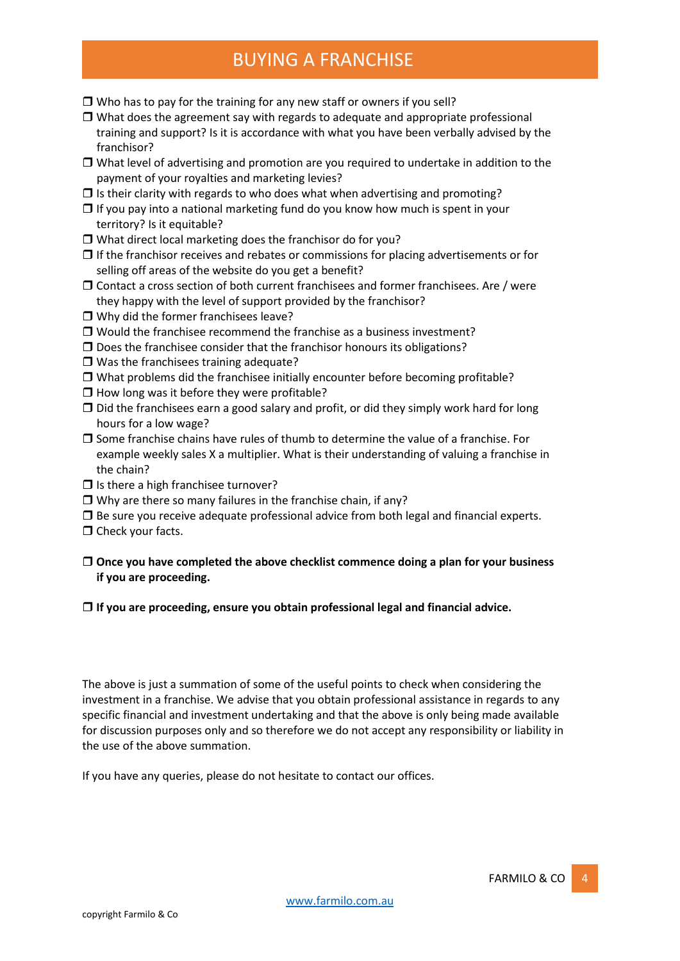- $\Box$  Who has to pay for the training for any new staff or owners if you sell?
- $\Box$  What does the agreement say with regards to adequate and appropriate professional training and support? Is it is accordance with what you have been verbally advised by the franchisor?
- $\Box$  What level of advertising and promotion are you required to undertake in addition to the payment of your royalties and marketing levies?
- $\Box$  Is their clarity with regards to who does what when advertising and promoting?
- $\Box$  If you pay into a national marketing fund do you know how much is spent in your territory? Is it equitable?
- $\Box$  What direct local marketing does the franchisor do for you?
- $\Box$  If the franchisor receives and rebates or commissions for placing advertisements or for selling off areas of the website do you get a benefit?
- $\square$  Contact a cross section of both current franchisees and former franchisees. Are / were they happy with the level of support provided by the franchisor?
- $\Box$  Why did the former franchisees leave?
- $\Box$  Would the franchisee recommend the franchise as a business investment?
- $\square$  Does the franchisee consider that the franchisor honours its obligations?
- □ Was the franchisees training adequate?
- $\Box$  What problems did the franchisee initially encounter before becoming profitable?
- $\Box$  How long was it before they were profitable?
- $\Box$  Did the franchisees earn a good salary and profit, or did they simply work hard for long hours for a low wage?
- $\square$  Some franchise chains have rules of thumb to determine the value of a franchise. For example weekly sales X a multiplier. What is their understanding of valuing a franchise in the chain?
- $\Box$  Is there a high franchisee turnover?
- $\Box$  Why are there so many failures in the franchise chain, if any?
- $\Box$  Be sure you receive adequate professional advice from both legal and financial experts.
- $\Box$  Check your facts.
- **Once you have completed the above checklist commence doing a plan for your business if you are proceeding.**

#### **If you are proceeding, ensure you obtain professional legal and financial advice.**

The above is just a summation of some of the useful points to check when considering the investment in a franchise. We advise that you obtain professional assistance in regards to any specific financial and investment undertaking and that the above is only being made available for discussion purposes only and so therefore we do not accept any responsibility or liability in the use of the above summation.

If you have any queries, please do not hesitate to contact our offices.